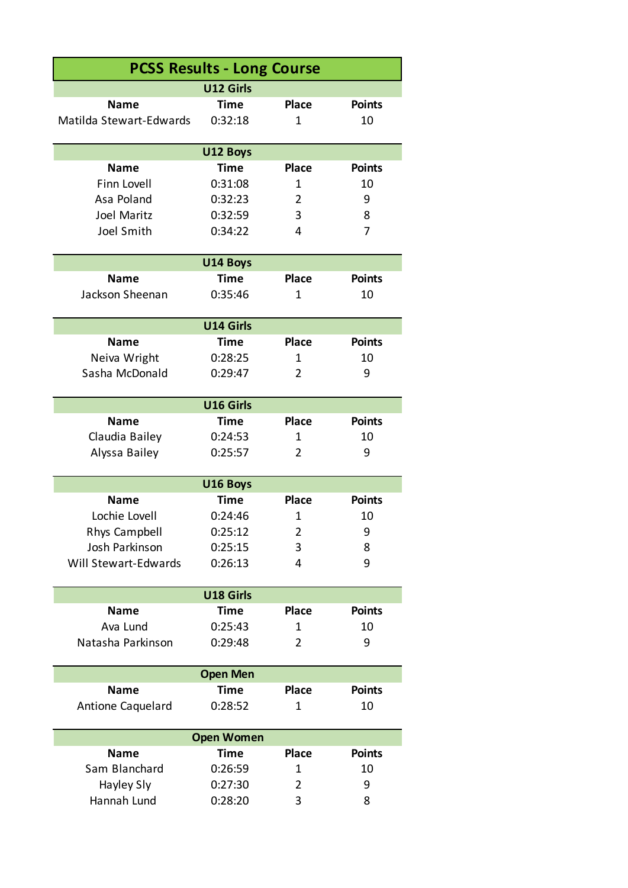| <b>PCSS Results - Long Course</b> |                   |                |               |  |  |  |  |
|-----------------------------------|-------------------|----------------|---------------|--|--|--|--|
|                                   | U12 Girls         |                |               |  |  |  |  |
| <b>Name</b>                       | <b>Time</b>       | <b>Place</b>   | <b>Points</b> |  |  |  |  |
| Matilda Stewart-Edwards           | 0:32:18           | $\mathbf{1}$   | 10            |  |  |  |  |
|                                   |                   |                |               |  |  |  |  |
| U12 Boys                          |                   |                |               |  |  |  |  |
| <b>Name</b>                       | Time              | <b>Place</b>   | <b>Points</b> |  |  |  |  |
| Finn Lovell                       | 0:31:08           | 1              | 10            |  |  |  |  |
| Asa Poland                        | 0:32:23           | $\overline{2}$ | 9             |  |  |  |  |
| Joel Maritz                       | 0:32:59           | 3              | 8             |  |  |  |  |
| Joel Smith                        | 0:34:22           | 4              | 7             |  |  |  |  |
|                                   | U14 Boys          |                |               |  |  |  |  |
| <b>Name</b>                       | <b>Time</b>       | <b>Place</b>   | <b>Points</b> |  |  |  |  |
| Jackson Sheenan                   | 0:35:46           | 1              | 10            |  |  |  |  |
|                                   |                   |                |               |  |  |  |  |
|                                   | U14 Girls         |                |               |  |  |  |  |
| <b>Name</b>                       | <b>Time</b>       | <b>Place</b>   | <b>Points</b> |  |  |  |  |
| Neiva Wright                      | 0:28:25           | 1              | 10            |  |  |  |  |
| Sasha McDonald                    | 0:29:47           | $\overline{2}$ | 9             |  |  |  |  |
|                                   |                   |                |               |  |  |  |  |
|                                   | U16 Girls         |                |               |  |  |  |  |
| <b>Name</b>                       | <b>Time</b>       | <b>Place</b>   | <b>Points</b> |  |  |  |  |
| Claudia Bailey                    | 0:24:53           | 1              | 10            |  |  |  |  |
| Alyssa Bailey                     | 0:25:57           | 2              | 9             |  |  |  |  |
|                                   | U16 Boys          |                |               |  |  |  |  |
| <b>Name</b>                       | <b>Time</b>       | <b>Place</b>   | <b>Points</b> |  |  |  |  |
| Lochie Lovell                     | 0:24:46           | 1              | 10            |  |  |  |  |
| <b>Rhys Campbell</b>              | 0:25:12           | 2              | 9             |  |  |  |  |
| Josh Parkinson                    | 0:25:15           | 3              | 8             |  |  |  |  |
| Will Stewart-Edwards              | 0:26:13           | 4              | 9             |  |  |  |  |
|                                   |                   |                |               |  |  |  |  |
|                                   | U18 Girls         |                |               |  |  |  |  |
| <b>Name</b>                       | <b>Time</b>       | <b>Place</b>   | <b>Points</b> |  |  |  |  |
| Ava Lund                          | 0:25:43           | 1              | 10            |  |  |  |  |
| Natasha Parkinson                 | 0:29:48           | $\overline{2}$ | 9             |  |  |  |  |
|                                   | <b>Open Men</b>   |                |               |  |  |  |  |
| <b>Name</b>                       | <b>Time</b>       | <b>Place</b>   | <b>Points</b> |  |  |  |  |
| Antione Caquelard                 | 0:28:52           | 1              | 10            |  |  |  |  |
|                                   |                   |                |               |  |  |  |  |
|                                   | <b>Open Women</b> |                |               |  |  |  |  |
| <b>Name</b>                       | <b>Time</b>       | <b>Place</b>   | <b>Points</b> |  |  |  |  |
| Sam Blanchard                     | 0:26:59           | 1              | 10            |  |  |  |  |
| Hayley Sly                        | 0:27:30           | $\overline{2}$ | 9             |  |  |  |  |
| Hannah Lund                       | 0:28:20           | 3              | 8             |  |  |  |  |
|                                   |                   |                |               |  |  |  |  |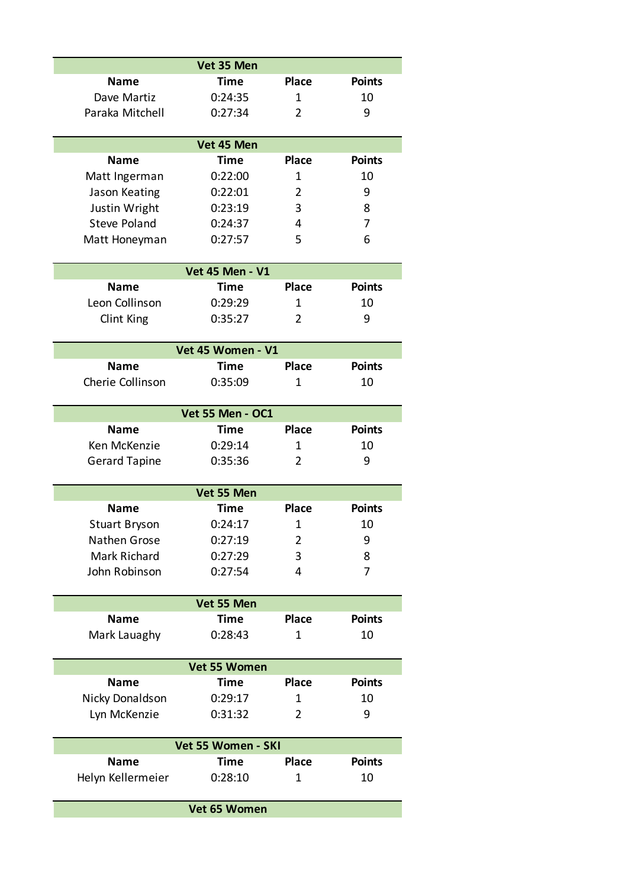|                      | Vet 35 Men             |                |               |  |  |  |
|----------------------|------------------------|----------------|---------------|--|--|--|
| <b>Name</b>          | <b>Time</b>            | <b>Place</b>   | <b>Points</b> |  |  |  |
| Dave Martiz          | 0:24:35                | 1              | 10            |  |  |  |
| Paraka Mitchell      | 0:27:34                | 2              | 9             |  |  |  |
| Vet 45 Men           |                        |                |               |  |  |  |
| <b>Name</b>          | <b>Time</b>            | <b>Place</b>   | <b>Points</b> |  |  |  |
| Matt Ingerman        | 0:22:00                | 1              | 10            |  |  |  |
| Jason Keating        | 0:22:01                | 2              | 9             |  |  |  |
| Justin Wright        | 0:23:19                | 3              | 8             |  |  |  |
| <b>Steve Poland</b>  | 0:24:37                | 4              | 7             |  |  |  |
| Matt Honeyman        | 0:27:57                | 5              | 6             |  |  |  |
|                      | <b>Vet 45 Men - V1</b> |                |               |  |  |  |
| <b>Name</b>          | <b>Time</b>            | <b>Place</b>   | <b>Points</b> |  |  |  |
| Leon Collinson       | 0:29:29                | 1              | 10            |  |  |  |
| Clint King           | 0:35:27                | 2              | 9             |  |  |  |
|                      | Vet 45 Women - V1      |                |               |  |  |  |
| <b>Name</b>          | <b>Time</b>            | <b>Place</b>   | <b>Points</b> |  |  |  |
| Cherie Collinson     | 0:35:09                | 1              | 10            |  |  |  |
|                      | Vet 55 Men - OC1       |                |               |  |  |  |
| <b>Name</b>          | <b>Time</b>            | <b>Place</b>   | <b>Points</b> |  |  |  |
| Ken McKenzie         | 0:29:14                | 1              | 10            |  |  |  |
| <b>Gerard Tapine</b> | 0:35:36                | 2              | 9             |  |  |  |
|                      | Vet 55 Men             |                |               |  |  |  |
| Name                 | Time                   | <b>Place</b>   | <b>Points</b> |  |  |  |
| <b>Stuart Bryson</b> | 0:24:17                | 1              | 10            |  |  |  |
| Nathen Grose         | 0:27:19                | 2              | 9             |  |  |  |
| Mark Richard         | 0:27:29                | 3              | 8             |  |  |  |
| John Robinson        | 0:27:54                | 4              | 7             |  |  |  |
|                      | Vet 55 Men             |                |               |  |  |  |
| <b>Name</b>          | Time                   | <b>Place</b>   | <b>Points</b> |  |  |  |
| Mark Lauaghy         | 0:28:43                | 1              | 10            |  |  |  |
| Vet 55 Women         |                        |                |               |  |  |  |
| <b>Name</b>          | Time                   | <b>Place</b>   | <b>Points</b> |  |  |  |
| Nicky Donaldson      | 0:29:17                | 1              | 10            |  |  |  |
| Lyn McKenzie         | 0:31:32                | $\overline{2}$ | 9             |  |  |  |
| Vet 55 Women - SKI   |                        |                |               |  |  |  |
| Name                 | <b>Time</b>            | <b>Place</b>   | <b>Points</b> |  |  |  |
| Helyn Kellermeier    | 0:28:10                | 1              | 10            |  |  |  |
|                      | Vet 65 Women           |                |               |  |  |  |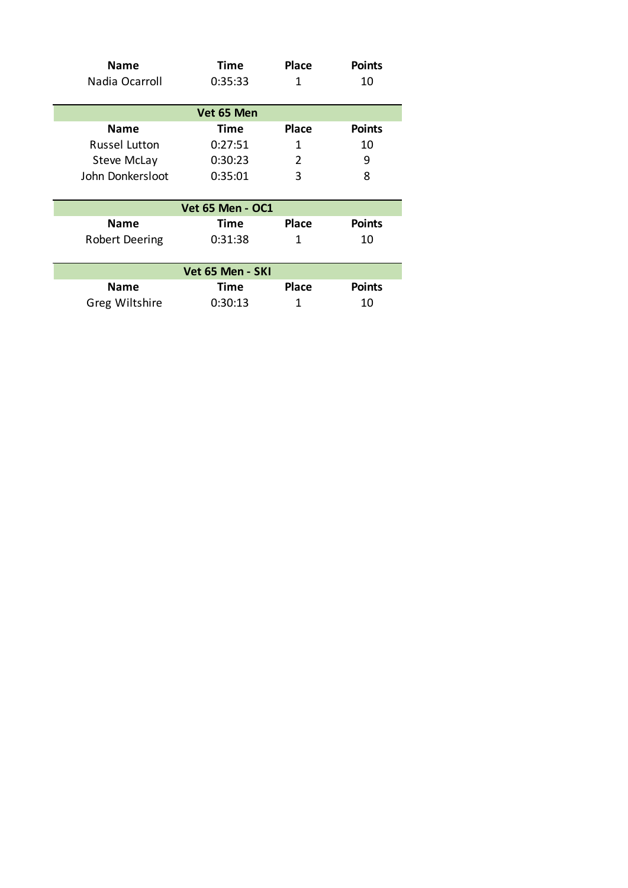| <b>Name</b>           | Time        | <b>Place</b> | <b>Points</b> |  |  |  |
|-----------------------|-------------|--------------|---------------|--|--|--|
| Nadia Ocarroll        | 0:35:33     | 1            | 10            |  |  |  |
| Vet 65 Men            |             |              |               |  |  |  |
| Name                  | <b>Time</b> | <b>Place</b> | <b>Points</b> |  |  |  |
| <b>Russel Lutton</b>  | 0:27:51     | 1            | 10            |  |  |  |
| <b>Steve McLay</b>    | 0:30:23     | 2            | 9             |  |  |  |
| John Donkersloot      | 0:35:01     | 3            | 8             |  |  |  |
|                       |             |              |               |  |  |  |
| Vet 65 Men - OC1      |             |              |               |  |  |  |
| Name                  | Time        | <b>Place</b> | <b>Points</b> |  |  |  |
| <b>Robert Deering</b> | 0:31:38     | 1            | 10            |  |  |  |
|                       |             |              |               |  |  |  |
| Vet 65 Men - SKI      |             |              |               |  |  |  |
| Name                  | Time        | <b>Place</b> | <b>Points</b> |  |  |  |
| <b>Greg Wiltshire</b> | 0:30:13     | 1            | 10            |  |  |  |